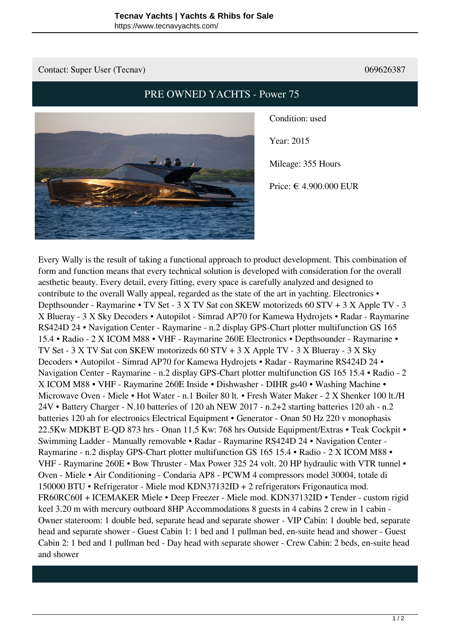## Contact: Super User (Tecnav) 069626387

## **PRE OWNED YACHTS - Power 75**



**Condition**: used

**Year**: 2015

**Mileage**: 355 Hours

**Price**: € 4.900.000 EUR

Every Wally is the result of taking a functional approach to product development. This combination of form and function means that every technical solution is developed with consideration for the overall aesthetic beauty. Every detail, every fitting, every space is carefully analyzed and designed to contribute to the overall Wally appeal, regarded as the state of the art in yachting. Electronics • Depthsounder - Raymarine • TV Set - 3 X TV Sat con SKEW motorizeds 60 STV + 3 X Apple TV - 3 X Blueray - 3 X Sky Decoders • Autopilot - Simrad AP70 for Kamewa Hydrojets • Radar - Raymarine RS424D 24 • Navigation Center - Raymarine - n.2 display GPS-Chart plotter multifunction GS 165 15.4 • Radio - 2 X ICOM M88 • VHF - Raymarine 260E Electronics • Depthsounder - Raymarine • TV Set - 3 X TV Sat con SKEW motorizeds 60 STV + 3 X Apple TV - 3 X Blueray - 3 X Sky Decoders • Autopilot - Simrad AP70 for Kamewa Hydrojets • Radar - Raymarine RS424D 24 • Navigation Center - Raymarine - n.2 display GPS-Chart plotter multifunction GS 165 15.4 • Radio - 2 X ICOM M88 • VHF - Raymarine 260E Inside • Dishwasher - DIHR gs40 • Washing Machine • Microwave Oven - Miele • Hot Water - n.1 Boiler 80 lt. • Fresh Water Maker - 2 X Shenker 100 lt./H 24V • Battery Charger - N.10 batteries of 120 ah NEW 2017 - n.2+2 starting batteries 120 ah - n.2 batteries 120 ah for electronics Electrical Equipment • Generator - Onan 50 Hz 220 v monophasis 22.5Kw MDKBT E-QD 873 hrs - Onan 11,5 Kw: 768 hrs Outside Equipment/Extras • Teak Cockpit • Swimming Ladder - Manually removable • Radar - Raymarine RS424D 24 • Navigation Center - Raymarine - n.2 display GPS-Chart plotter multifunction GS 165 15.4 • Radio - 2 X ICOM M88 • VHF - Raymarine 260E • Bow Thruster - Max Power 325 24 volt. 20 HP hydraulic with VTR tunnel • Oven - Miele • Air Conditioning - Condaria AP8 - PCWM 4 compressors model 30004, totale di 150000 BTU • Refrigerator - Miele mod KDN37132ID + 2 refrigerators Frigonautica mod. FR60RC60I + ICEMAKER Miele • Deep Freezer - Miele mod. KDN37132ID • Tender - custom rigid keel 3.20 m with mercury outboard 8HP Accommodations 8 guests in 4 cabins 2 crew in 1 cabin - Owner stateroom: 1 double bed, separate head and separate shower - VIP Cabin: 1 double bed, separate head and separate shower - Guest Cabin 1: 1 bed and 1 pullman bed, en-suite head and shower - Guest Cabin 2: 1 bed and 1 pullman bed - Day head with separate shower - Crew Cabin: 2 beds, en-suite head and shower